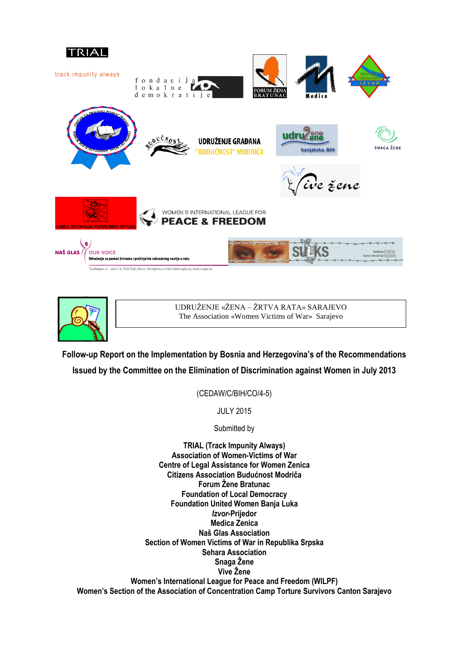



UDRUŽENJE «ŽENA – ŽRTVA RATA» SARAJEVO The Association «Women Victims of War» Sarajevo

**Follow-up Report on the Implementation by Bosnia and Herzegovina's of the Recommendations Issued by the Committee on the Elimination of Discrimination against Women in July 2013**

(CEDAW/C/BIH/CO/4-5)

JULY 2015

Submitted by

**TRIAL (Track Impunity Always) Association of Women-Victims of War Centre of Legal Assistance for Women Zenica Citizens Association Budućnost Modriča Forum Žene Bratunac Foundation of Local Democracy Foundation United Women Banja Luka** *Izvor***-Prijedor Medica Zenica Naš Glas Association Section of Women Victims of War in Republika Srpska Sehara Association Snaga Žene Vive Žene Women's International League for Peace and Freedom (WILPF) Women's Section of the Association of Concentration Camp Torture Survivors Canton Sarajevo**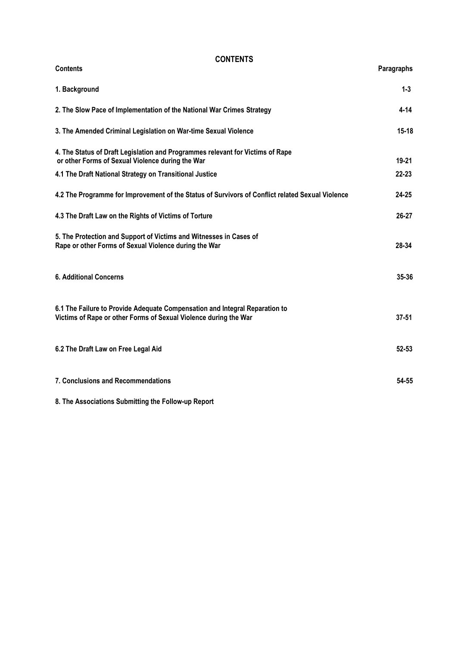### **CONTENTS**

| <b>Contents</b>                                                                                                                                 | Paragraphs |
|-------------------------------------------------------------------------------------------------------------------------------------------------|------------|
| 1. Background                                                                                                                                   | $1 - 3$    |
| 2. The Slow Pace of Implementation of the National War Crimes Strategy                                                                          | $4 - 14$   |
| 3. The Amended Criminal Legislation on War-time Sexual Violence                                                                                 | 15-18      |
| 4. The Status of Draft Legislation and Programmes relevant for Victims of Rape<br>or other Forms of Sexual Violence during the War              | $19 - 21$  |
| 4.1 The Draft National Strategy on Transitional Justice                                                                                         | $22 - 23$  |
| 4.2 The Programme for Improvement of the Status of Survivors of Conflict related Sexual Violence                                                | $24 - 25$  |
| 4.3 The Draft Law on the Rights of Victims of Torture                                                                                           | 26-27      |
| 5. The Protection and Support of Victims and Witnesses in Cases of<br>Rape or other Forms of Sexual Violence during the War                     | 28-34      |
| <b>6. Additional Concerns</b>                                                                                                                   | 35-36      |
| 6.1 The Failure to Provide Adequate Compensation and Integral Reparation to<br>Victims of Rape or other Forms of Sexual Violence during the War | $37 - 51$  |
| 6.2 The Draft Law on Free Legal Aid                                                                                                             | $52 - 53$  |
| 7. Conclusions and Recommendations                                                                                                              | 54-55      |

**8. The Associations Submitting the Follow-up Report**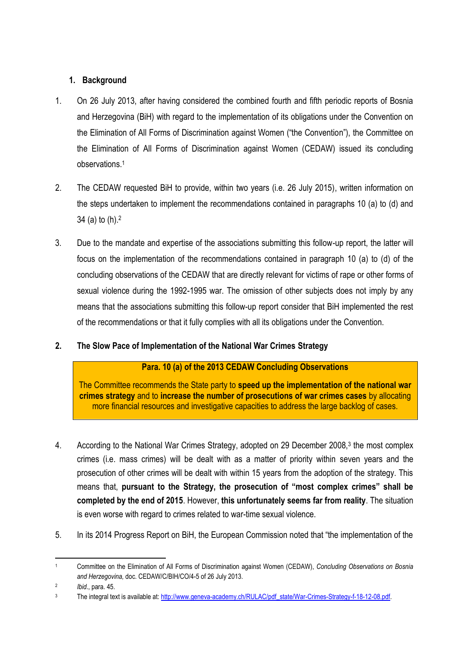# **1. Background**

- 1. On 26 July 2013, after having considered the combined fourth and fifth periodic reports of Bosnia and Herzegovina (BiH) with regard to the implementation of its obligations under the Convention on the Elimination of All Forms of Discrimination against Women ("the Convention"), the Committee on the Elimination of All Forms of Discrimination against Women (CEDAW) issued its concluding observations.<sup>1</sup>
- 2. The CEDAW requested BiH to provide, within two years (i.e. 26 July 2015), written information on the steps undertaken to implement the recommendations contained in paragraphs 10 (a) to (d) and 34 (a) to (h).<sup>2</sup>
- 3. Due to the mandate and expertise of the associations submitting this follow-up report, the latter will focus on the implementation of the recommendations contained in paragraph 10 (a) to (d) of the concluding observations of the CEDAW that are directly relevant for victims of rape or other forms of sexual violence during the 1992-1995 war. The omission of other subjects does not imply by any means that the associations submitting this follow-up report consider that BiH implemented the rest of the recommendations or that it fully complies with all its obligations under the Convention.
- **2. The Slow Pace of Implementation of the National War Crimes Strategy**

# **Para. 10 (a) of the 2013 CEDAW Concluding Observations**

The Committee recommends the State party to **speed up the implementation of the national war crimes strategy** and to **increase the number of prosecutions of war crimes cases** by allocating more financial resources and investigative capacities to address the large backlog of cases.

- 4. According to the National War Crimes Strategy, adopted on 29 December 2008,<sup>3</sup> the most complex crimes (i.e. mass crimes) will be dealt with as a matter of priority within seven years and the prosecution of other crimes will be dealt with within 15 years from the adoption of the strategy. This means that, **pursuant to the Strategy, the prosecution of "most complex crimes" shall be completed by the end of 2015**. However, **this unfortunately seems far from reality**. The situation is even worse with regard to crimes related to war-time sexual violence.
- 5. In its 2014 Progress Report on BiH, the European Commission noted that "the implementation of the

 $\overline{a}$ <sup>1</sup> Committee on the Elimination of All Forms of Discrimination against Women (CEDAW), *Concluding Observations on Bosnia and Herzegovina,* doc. CEDAW/C/BIH/CO/4-5 of 26 July 2013.

<sup>2</sup> *Ibid*., para. 45.

<sup>&</sup>lt;sup>3</sup> The integral text is available at: [http://www.geneva-academy.ch/RULAC/pdf\\_state/War-Crimes-Strategy-f-18-12-08.pdf.](http://www.geneva-academy.ch/RULAC/pdf_state/War-Crimes-Strategy-f-18-12-08.pdf)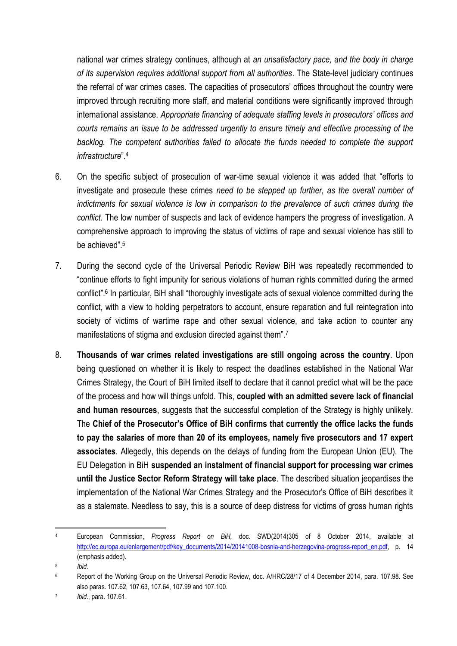national war crimes strategy continues, although at *an unsatisfactory pace, and the body in charge of its supervision requires additional support from all authorities*. The State-level judiciary continues the referral of war crimes cases. The capacities of prosecutors' offices throughout the country were improved through recruiting more staff, and material conditions were significantly improved through international assistance. *Appropriate financing of adequate staffing levels in prosecutors' offices and courts remains an issue to be addressed urgently to ensure timely and effective processing of the backlog. The competent authorities failed to allocate the funds needed to complete the support infrastructure*".<sup>4</sup>

- 6. On the specific subject of prosecution of war-time sexual violence it was added that "efforts to investigate and prosecute these crimes *need to be stepped up further, as the overall number of indictments for sexual violence is low in comparison to the prevalence of such crimes during the conflict*. The low number of suspects and lack of evidence hampers the progress of investigation. A comprehensive approach to improving the status of victims of rape and sexual violence has still to be achieved".<sup>5</sup>
- 7. During the second cycle of the Universal Periodic Review BiH was repeatedly recommended to "continue efforts to fight impunity for serious violations of human rights committed during the armed conflict".<sup>6</sup> In particular, BiH shall "thoroughly investigate acts of sexual violence committed during the conflict, with a view to holding perpetrators to account, ensure reparation and full reintegration into society of victims of wartime rape and other sexual violence, and take action to counter any manifestations of stigma and exclusion directed against them".<sup>7</sup>
- 8. **Thousands of war crimes related investigations are still ongoing across the country**. Upon being questioned on whether it is likely to respect the deadlines established in the National War Crimes Strategy, the Court of BiH limited itself to declare that it cannot predict what will be the pace of the process and how will things unfold. This, **coupled with an admitted severe lack of financial and human resources**, suggests that the successful completion of the Strategy is highly unlikely. The **Chief of the Prosecutor's Office of BiH confirms that currently the office lacks the funds to pay the salaries of more than 20 of its employees, namely five prosecutors and 17 expert associates**. Allegedly, this depends on the delays of funding from the European Union (EU). The EU Delegation in BiH **suspended an instalment of financial support for processing war crimes until the Justice Sector Reform Strategy will take place**. The described situation jeopardises the implementation of the National War Crimes Strategy and the Prosecutor's Office of BiH describes it as a stalemate. Needless to say, this is a source of deep distress for victims of gross human rights

**<sup>.</sup>** <sup>4</sup> European Commission, *Progress Report on BiH,* doc. SWD(2014)305 of 8 October 2014, available at [http://ec.europa.eu/enlargement/pdf/key\\_documents/2014/20141008-bosnia-and-herzegovina-progress-report\\_en.pdf,](http://ec.europa.eu/enlargement/pdf/key_documents/2014/20141008-bosnia-and-herzegovina-progress-report_en.pdf) p. 14 (emphasis added).

<sup>5</sup> *Ibid*.

<sup>6</sup> Report of the Working Group on the Universal Periodic Review, doc. A/HRC/28/17 of 4 December 2014, para. 107.98. See also paras. 107.62, 107.63, 107.64, 107.99 and 107.100.

<sup>7</sup> *Ibid*., para. 107.61.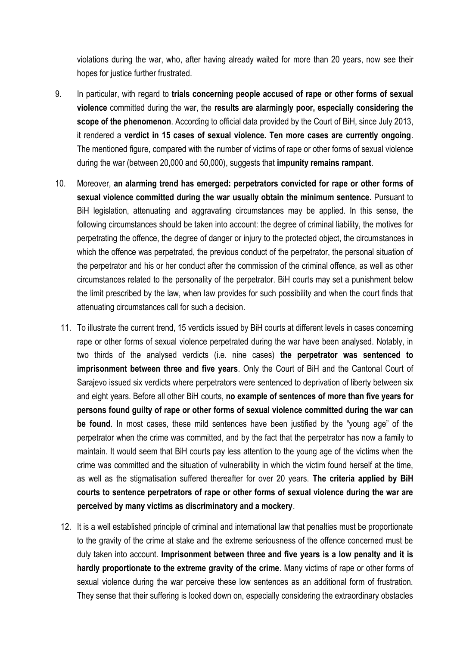violations during the war, who, after having already waited for more than 20 years, now see their hopes for justice further frustrated.

- 9. In particular, with regard to **trials concerning people accused of rape or other forms of sexual violence** committed during the war, the **results are alarmingly poor, especially considering the scope of the phenomenon**. According to official data provided by the Court of BiH, since July 2013, it rendered a **verdict in 15 cases of sexual violence. Ten more cases are currently ongoing**. The mentioned figure, compared with the number of victims of rape or other forms of sexual violence during the war (between 20,000 and 50,000), suggests that **impunity remains rampant**.
- 10. Moreover, **an alarming trend has emerged: perpetrators convicted for rape or other forms of sexual violence committed during the war usually obtain the minimum sentence.** Pursuant to BiH legislation, attenuating and aggravating circumstances may be applied. In this sense, the following circumstances should be taken into account: the degree of criminal liability, the motives for perpetrating the offence, the degree of danger or injury to the protected object, the circumstances in which the offence was perpetrated, the previous conduct of the perpetrator, the personal situation of the perpetrator and his or her conduct after the commission of the criminal offence, as well as other circumstances related to the personality of the perpetrator. BiH courts may set a punishment below the limit prescribed by the law, when law provides for such possibility and when the court finds that attenuating circumstances call for such a decision.
	- 11. To illustrate the current trend, 15 verdicts issued by BiH courts at different levels in cases concerning rape or other forms of sexual violence perpetrated during the war have been analysed. Notably, in two thirds of the analysed verdicts (i.e. nine cases) **the perpetrator was sentenced to imprisonment between three and five years**. Only the Court of BiH and the Cantonal Court of Sarajevo issued six verdicts where perpetrators were sentenced to deprivation of liberty between six and eight years. Before all other BiH courts, **no example of sentences of more than five years for persons found guilty of rape or other forms of sexual violence committed during the war can be found**. In most cases, these mild sentences have been justified by the "young age" of the perpetrator when the crime was committed, and by the fact that the perpetrator has now a family to maintain. It would seem that BiH courts pay less attention to the young age of the victims when the crime was committed and the situation of vulnerability in which the victim found herself at the time, as well as the stigmatisation suffered thereafter for over 20 years. **The criteria applied by BiH courts to sentence perpetrators of rape or other forms of sexual violence during the war are perceived by many victims as discriminatory and a mockery**.
	- 12. It is a well established principle of criminal and international law that penalties must be proportionate to the gravity of the crime at stake and the extreme seriousness of the offence concerned must be duly taken into account. **Imprisonment between three and five years is a low penalty and it is hardly proportionate to the extreme gravity of the crime**. Many victims of rape or other forms of sexual violence during the war perceive these low sentences as an additional form of frustration. They sense that their suffering is looked down on, especially considering the extraordinary obstacles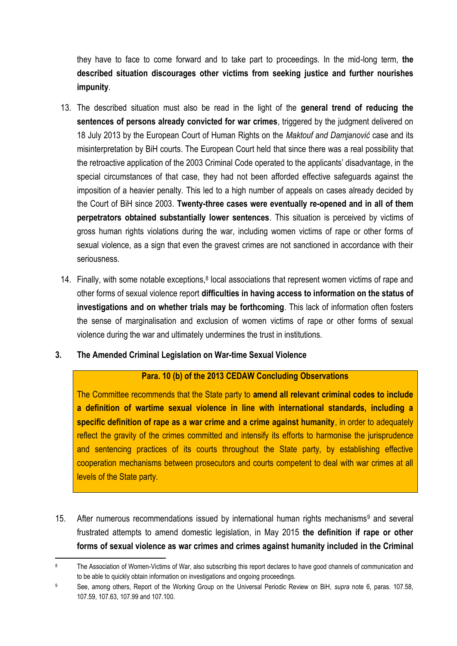they have to face to come forward and to take part to proceedings. In the mid-long term, **the described situation discourages other victims from seeking justice and further nourishes impunity**.

- 13. The described situation must also be read in the light of the **general trend of reducing the sentences of persons already convicted for war crimes**, triggered by the judgment delivered on 18 July 2013 by the European Court of Human Rights on the *Maktouf and Damjanović* case and its misinterpretation by BiH courts. The European Court held that since there was a real possibility that the retroactive application of the 2003 Criminal Code operated to the applicants' disadvantage, in the special circumstances of that case, they had not been afforded effective safeguards against the imposition of a heavier penalty. This led to a high number of appeals on cases already decided by the Court of BiH since 2003. **Twenty-three cases were eventually re-opened and in all of them perpetrators obtained substantially lower sentences**. This situation is perceived by victims of gross human rights violations during the war, including women victims of rape or other forms of sexual violence, as a sign that even the gravest crimes are not sanctioned in accordance with their seriousness.
- 14. Finally, with some notable exceptions, $8$  local associations that represent women victims of rape and other forms of sexual violence report **difficulties in having access to information on the status of investigations and on whether trials may be forthcoming**. This lack of information often fosters the sense of marginalisation and exclusion of women victims of rape or other forms of sexual violence during the war and ultimately undermines the trust in institutions.

## **3. The Amended Criminal Legislation on War-time Sexual Violence**

## **Para. 10 (b) of the 2013 CEDAW Concluding Observations**

The Committee recommends that the State party to **amend all relevant criminal codes to include a definition of wartime sexual violence in line with international standards, including a specific definition of rape as a war crime and a crime against humanity**, in order to adequately reflect the gravity of the crimes committed and intensify its efforts to harmonise the jurisprudence and sentencing practices of its courts throughout the State party, by establishing effective cooperation mechanisms between prosecutors and courts competent to deal with war crimes at all levels of the State party.

15. After numerous recommendations issued by international human rights mechanisms<sup>9</sup> and several frustrated attempts to amend domestic legislation, in May 2015 **the definition if rape or other forms of sexual violence as war crimes and crimes against humanity included in the Criminal** 

 $\overline{a}$ <sup>8</sup> The Association of Women-Victims of War, also subscribing this report declares to have good channels of communication and to be able to quickly obtain information on investigations and ongoing proceedings.

<sup>9</sup> See, among others, Report of the Working Group on the Universal Periodic Review on BiH, *supra* note 6, paras. 107.58, 107.59, 107.63, 107.99 and 107.100.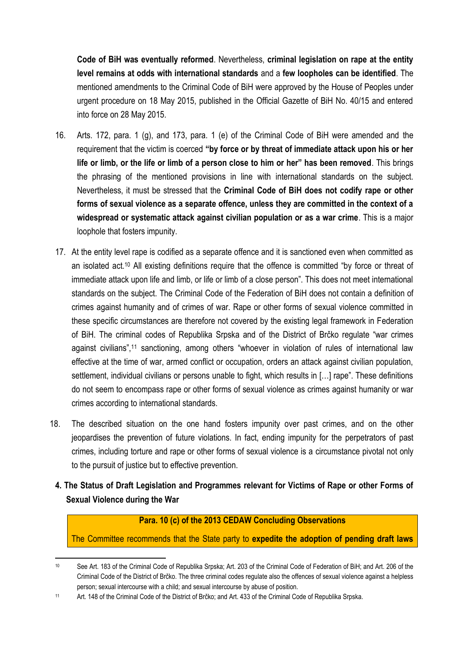**Code of BiH was eventually reformed**. Nevertheless, **criminal legislation on rape at the entity level remains at odds with international standards** and a **few loopholes can be identified**. The mentioned amendments to the Criminal Code of BiH were approved by the House of Peoples under urgent procedure on 18 May 2015, published in the Official Gazette of BiH No. 40/15 and entered into force on 28 May 2015.

- 16. Arts. 172, para. 1 (g), and 173, para. 1 (e) of the Criminal Code of BiH were amended and the requirement that the victim is coerced **"by force or by threat of immediate attack upon his or her life or limb, or the life or limb of a person close to him or her" has been removed**. This brings the phrasing of the mentioned provisions in line with international standards on the subject. Nevertheless, it must be stressed that the **Criminal Code of BiH does not codify rape or other forms of sexual violence as a separate offence, unless they are committed in the context of a widespread or systematic attack against civilian population or as a war crime**. This is a major loophole that fosters impunity.
- 17. At the entity level rape is codified as a separate offence and it is sanctioned even when committed as an isolated act.<sup>10</sup> All existing definitions require that the offence is committed "by force or threat of immediate attack upon life and limb, or life or limb of a close person". This does not meet international standards on the subject. The Criminal Code of the Federation of BiH does not contain a definition of crimes against humanity and of crimes of war. Rape or other forms of sexual violence committed in these specific circumstances are therefore not covered by the existing legal framework in Federation of BiH. The criminal codes of Republika Srpska and of the District of Brčko regulate "war crimes against civilians",<sup>11</sup> sanctioning, among others "whoever in violation of rules of international law effective at the time of war, armed conflict or occupation, orders an attack against civilian population, settlement, individual civilians or persons unable to fight, which results in […] rape". These definitions do not seem to encompass rape or other forms of sexual violence as crimes against humanity or war crimes according to international standards.
- 18. The described situation on the one hand fosters impunity over past crimes, and on the other jeopardises the prevention of future violations. In fact, ending impunity for the perpetrators of past crimes, including torture and rape or other forms of sexual violence is a circumstance pivotal not only to the pursuit of justice but to effective prevention.
- **4. The Status of Draft Legislation and Programmes relevant for Victims of Rape or other Forms of Sexual Violence during the War**

## **Para. 10 (c) of the 2013 CEDAW Concluding Observations**

The Committee recommends that the State party to **expedite the adoption of pending draft laws** 

 $\overline{a}$ <sup>10</sup> See Art. 183 of the Criminal Code of Republika Srpska; Art. 203 of the Criminal Code of Federation of BiH; and Art. 206 of the Criminal Code of the District of Brčko. The three criminal codes regulate also the offences of sexual violence against a helpless person; sexual intercourse with a child; and sexual intercourse by abuse of position.

<sup>11</sup> Art. 148 of the Criminal Code of the District of Brčko; and Art. 433 of the Criminal Code of Republika Srpska.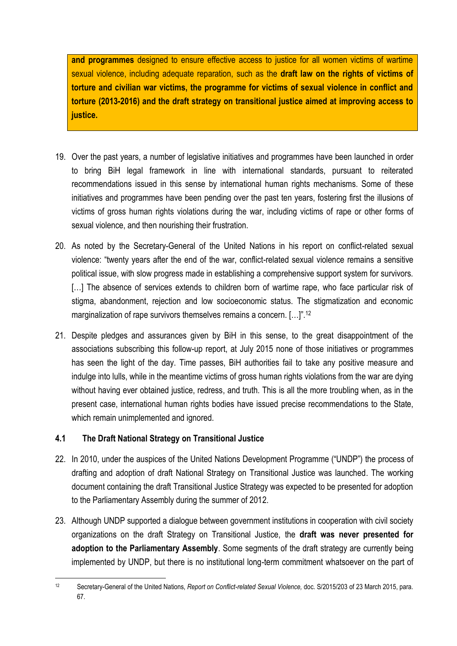**and programmes** designed to ensure effective access to justice for all women victims of wartime sexual violence, including adequate reparation, such as the **draft law on the rights of victims of torture and civilian war victims, the programme for victims of sexual violence in conflict and torture (2013-2016) and the draft strategy on transitional justice aimed at improving access to justice.**

- 19. Over the past years, a number of legislative initiatives and programmes have been launched in order to bring BiH legal framework in line with international standards, pursuant to reiterated recommendations issued in this sense by international human rights mechanisms. Some of these initiatives and programmes have been pending over the past ten years, fostering first the illusions of victims of gross human rights violations during the war, including victims of rape or other forms of sexual violence, and then nourishing their frustration.
- 20. As noted by the Secretary-General of the United Nations in his report on conflict-related sexual violence: "twenty years after the end of the war, conflict-related sexual violence remains a sensitive political issue, with slow progress made in establishing a comprehensive support system for survivors. [...] The absence of services extends to children born of wartime rape, who face particular risk of stigma, abandonment, rejection and low socioeconomic status. The stigmatization and economic marginalization of rape survivors themselves remains a concern. [...]".<sup>12</sup>
- 21. Despite pledges and assurances given by BiH in this sense, to the great disappointment of the associations subscribing this follow-up report, at July 2015 none of those initiatives or programmes has seen the light of the day. Time passes, BiH authorities fail to take any positive measure and indulge into lulls, while in the meantime victims of gross human rights violations from the war are dying without having ever obtained justice, redress, and truth. This is all the more troubling when, as in the present case, international human rights bodies have issued precise recommendations to the State, which remain unimplemented and ignored.

# **4.1 The Draft National Strategy on Transitional Justice**

- 22. In 2010, under the auspices of the United Nations Development Programme ("UNDP") the process of drafting and adoption of draft National Strategy on Transitional Justice was launched. The working document containing the draft Transitional Justice Strategy was expected to be presented for adoption to the Parliamentary Assembly during the summer of 2012.
- 23. Although UNDP supported a dialogue between government institutions in cooperation with civil society organizations on the draft Strategy on Transitional Justice, the **draft was never presented for adoption to the Parliamentary Assembly**. Some segments of the draft strategy are currently being implemented by UNDP, but there is no institutional long-term commitment whatsoever on the part of

<sup>1</sup> <sup>12</sup> Secretary-General of the United Nations, *Report on Conflict-related Sexual Violence,* doc. S/2015/203 of 23 March 2015, para. 67.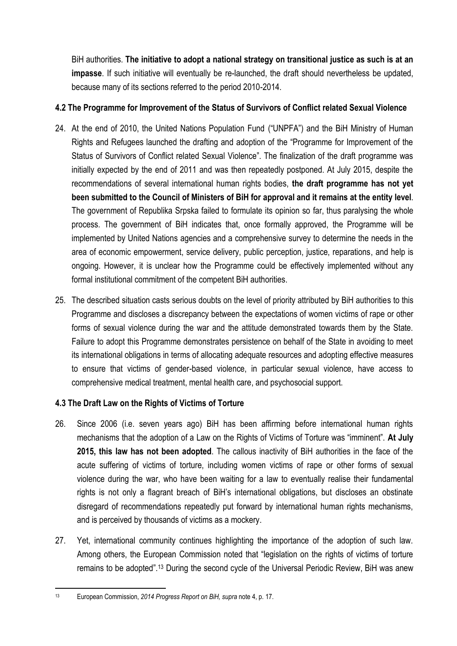BiH authorities. **The initiative to adopt a national strategy on transitional justice as such is at an impasse**. If such initiative will eventually be re-launched, the draft should nevertheless be updated, because many of its sections referred to the period 2010-2014.

# **4.2 The Programme for Improvement of the Status of Survivors of Conflict related Sexual Violence**

- 24. At the end of 2010, the United Nations Population Fund ("UNPFA") and the BiH Ministry of Human Rights and Refugees launched the drafting and adoption of the "Programme for Improvement of the Status of Survivors of Conflict related Sexual Violence". The finalization of the draft programme was initially expected by the end of 2011 and was then repeatedly postponed. At July 2015, despite the recommendations of several international human rights bodies, **the draft programme has not yet been submitted to the Council of Ministers of BiH for approval and it remains at the entity level**. The government of Republika Srpska failed to formulate its opinion so far, thus paralysing the whole process. The government of BiH indicates that, once formally approved, the Programme will be implemented by United Nations agencies and a comprehensive survey to determine the needs in the area of economic empowerment, service delivery, public perception, justice, reparations, and help is ongoing. However, it is unclear how the Programme could be effectively implemented without any formal institutional commitment of the competent BiH authorities.
- 25. The described situation casts serious doubts on the level of priority attributed by BiH authorities to this Programme and discloses a discrepancy between the expectations of women victims of rape or other forms of sexual violence during the war and the attitude demonstrated towards them by the State. Failure to adopt this Programme demonstrates persistence on behalf of the State in avoiding to meet its international obligations in terms of allocating adequate resources and adopting effective measures to ensure that victims of gender-based violence, in particular sexual violence, have access to comprehensive medical treatment, mental health care, and psychosocial support.

# **4.3 The Draft Law on the Rights of Victims of Torture**

- 26. Since 2006 (i.e. seven years ago) BiH has been affirming before international human rights mechanisms that the adoption of a Law on the Rights of Victims of Torture was "imminent". **At July 2015, this law has not been adopted**. The callous inactivity of BiH authorities in the face of the acute suffering of victims of torture, including women victims of rape or other forms of sexual violence during the war, who have been waiting for a law to eventually realise their fundamental rights is not only a flagrant breach of BiH's international obligations, but discloses an obstinate disregard of recommendations repeatedly put forward by international human rights mechanisms, and is perceived by thousands of victims as a mockery.
- 27. Yet, international community continues highlighting the importance of the adoption of such law. Among others, the European Commission noted that "legislation on the rights of victims of torture remains to be adopted".<sup>13</sup> During the second cycle of the Universal Periodic Review, BiH was anew

 $12$ <sup>13</sup> European Commission, *2014 Progress Report on BiH, supra* note 4, p. 17.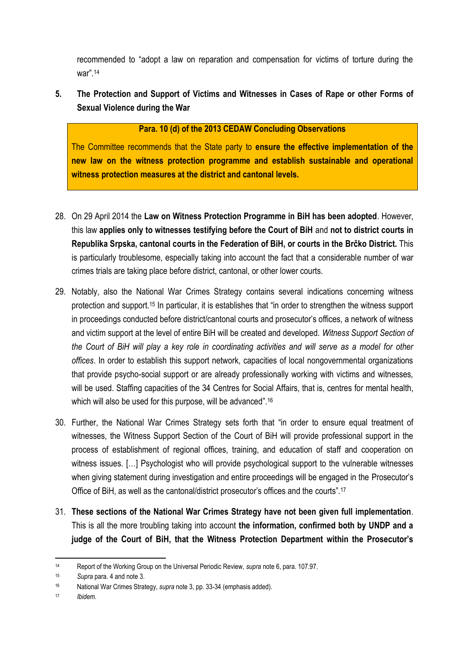recommended to "adopt a law on reparation and compensation for victims of torture during the war".<sup>14</sup>

**5. The Protection and Support of Victims and Witnesses in Cases of Rape or other Forms of Sexual Violence during the War**

## **Para. 10 (d) of the 2013 CEDAW Concluding Observations**

The Committee recommends that the State party to **ensure the effective implementation of the new law on the witness protection programme and establish sustainable and operational witness protection measures at the district and cantonal levels.**

- 28. On 29 April 2014 the **Law on Witness Protection Programme in BiH has been adopted**. However, this law **applies only to witnesses testifying before the Court of BiH** and **not to district courts in Republika Srpska, cantonal courts in the Federation of BiH, or courts in the Brčko District.** This is particularly troublesome, especially taking into account the fact that a considerable number of war crimes trials are taking place before district, cantonal, or other lower courts.
- 29. Notably, also the National War Crimes Strategy contains several indications concerning witness protection and support.<sup>15</sup> In particular, it is establishes that "in order to strengthen the witness support in proceedings conducted before district/cantonal courts and prosecutor's offices, a network of witness and victim support at the level of entire BiH will be created and developed. *Witness Support Section of the Court of BiH will play a key role in coordinating activities and will serve as a model for other offices*. In order to establish this support network, capacities of local nongovernmental organizations that provide psycho-social support or are already professionally working with victims and witnesses, will be used. Staffing capacities of the 34 Centres for Social Affairs, that is, centres for mental health, which will also be used for this purpose, will be advanced".<sup>16</sup>
- 30. Further, the National War Crimes Strategy sets forth that "in order to ensure equal treatment of witnesses, the Witness Support Section of the Court of BiH will provide professional support in the process of establishment of regional offices, training, and education of staff and cooperation on witness issues. […] Psychologist who will provide psychological support to the vulnerable witnesses when giving statement during investigation and entire proceedings will be engaged in the Prosecutor's Office of BiH, as well as the cantonal/district prosecutor's offices and the courts". 17
- 31. **These sections of the National War Crimes Strategy have not been given full implementation**. This is all the more troubling taking into account **the information, confirmed both by UNDP and a judge of the Court of BiH, that the Witness Protection Department within the Prosecutor's**

 $\overline{a}$ <sup>14</sup> Report of the Working Group on the Universal Periodic Review, *supra* note 6, para. 107.97.

<sup>15</sup> *Supra* para. 4 and note 3.

<sup>16</sup> National War Crimes Strategy, *supra* note 3, pp. 33-34 (emphasis added).

<sup>17</sup> *Ibidem*.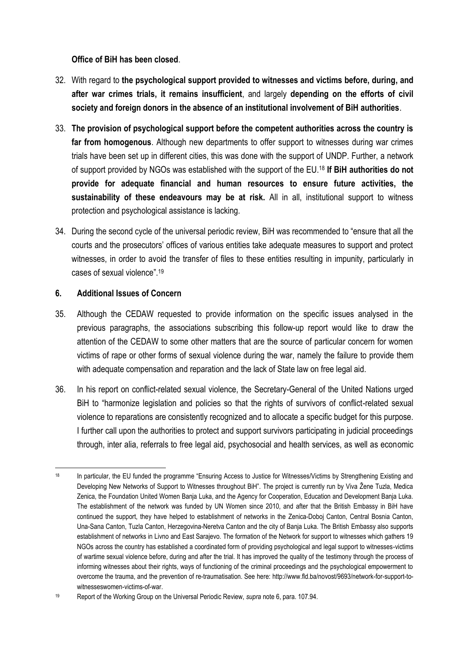**Office of BiH has been closed**.

- 32. With regard to **the psychological support provided to witnesses and victims before, during, and after war crimes trials, it remains insufficient**, and largely **depending on the efforts of civil society and foreign donors in the absence of an institutional involvement of BiH authorities**.
- 33. **The provision of psychological support before the competent authorities across the country is far from homogenous**. Although new departments to offer support to witnesses during war crimes trials have been set up in different cities, this was done with the support of UNDP. Further, a network of support provided by NGOs was established with the support of the EU.<sup>18</sup> **If BiH authorities do not provide for adequate financial and human resources to ensure future activities, the sustainability of these endeavours may be at risk.** All in all, institutional support to witness protection and psychological assistance is lacking.
- 34. During the second cycle of the universal periodic review, BiH was recommended to "ensure that all the courts and the prosecutors' offices of various entities take adequate measures to support and protect witnesses, in order to avoid the transfer of files to these entities resulting in impunity, particularly in cases of sexual violence".<sup>19</sup>

## **6. Additional Issues of Concern**

- 35. Although the CEDAW requested to provide information on the specific issues analysed in the previous paragraphs, the associations subscribing this follow-up report would like to draw the attention of the CEDAW to some other matters that are the source of particular concern for women victims of rape or other forms of sexual violence during the war, namely the failure to provide them with adequate compensation and reparation and the lack of State law on free legal aid.
- 36. In his report on conflict-related sexual violence, the Secretary-General of the United Nations urged BiH to "harmonize legislation and policies so that the rights of survivors of conflict-related sexual violence to reparations are consistently recognized and to allocate a specific budget for this purpose. I further call upon the authorities to protect and support survivors participating in judicial proceedings through, inter alia, referrals to free legal aid, psychosocial and health services, as well as economic

<sup>1</sup> <sup>18</sup> In particular, the EU funded the programme "Ensuring Access to Justice for Witnesses/Victims by Strengthening Existing and Developing New Networks of Support to Witnesses throughout BiH". The project is currently run by Viva Žene Tuzla, Medica Zenica, the Foundation United Women Banja Luka, and the Agency for Cooperation, Education and Development Banja Luka. The establishment of the network was funded by UN Women since 2010, and after that the British Embassy in BiH have continued the support, they have helped to establishment of networks in the Zenica-Doboj Canton, Central Bosnia Canton, Una-Sana Canton, Tuzla Canton, Herzegovina-Neretva Canton and the city of Banja Luka. The British Embassy also supports establishment of networks in Livno and East Sarajevo. The formation of the Network for support to witnesses which gathers 19 NGOs across the country has established a coordinated form of providing psychological and legal support to witnesses-victims of wartime sexual violence before, during and after the trial. It has improved the quality of the testimony through the process of informing witnesses about their rights, ways of functioning of the criminal proceedings and the psychological empowerment to overcome the trauma, and the prevention of re-traumatisation. See here: [http://www.fld.ba/novost/9693/network-for-support-to](http://www.fld.ba/novost/9693/network-for-support-to-witnesseswomen-victims-of-war)[witnesseswomen-victims-of-war.](http://www.fld.ba/novost/9693/network-for-support-to-witnesseswomen-victims-of-war) 

<sup>19</sup> Report of the Working Group on the Universal Periodic Review, *supra* note 6, para. 107.94.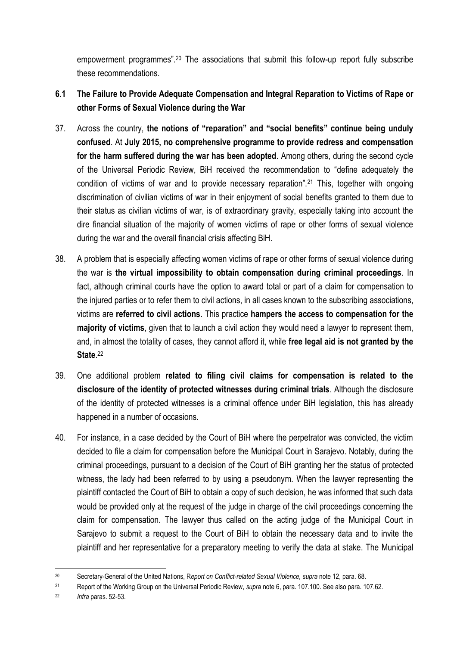empowerment programmes".<sup>20</sup> The associations that submit this follow-up report fully subscribe these recommendations.

- **6**.**1 The Failure to Provide Adequate Compensation and Integral Reparation to Victims of Rape or other Forms of Sexual Violence during the War**
- 37. Across the country, **the notions of "reparation" and "social benefits" continue being unduly confused**. At **July 2015, no comprehensive programme to provide redress and compensation for the harm suffered during the war has been adopted**. Among others, during the second cycle of the Universal Periodic Review, BiH received the recommendation to "define adequately the condition of victims of war and to provide necessary reparation".<sup>21</sup> This, together with ongoing discrimination of civilian victims of war in their enjoyment of social benefits granted to them due to their status as civilian victims of war, is of extraordinary gravity, especially taking into account the dire financial situation of the majority of women victims of rape or other forms of sexual violence during the war and the overall financial crisis affecting BiH.
- 38. A problem that is especially affecting women victims of rape or other forms of sexual violence during the war is **the virtual impossibility to obtain compensation during criminal proceedings**. In fact, although criminal courts have the option to award total or part of a claim for compensation to the injured parties or to refer them to civil actions, in all cases known to the subscribing associations, victims are **referred to civil actions**. This practice **hampers the access to compensation for the majority of victims**, given that to launch a civil action they would need a lawyer to represent them, and, in almost the totality of cases, they cannot afford it, while **free legal aid is not granted by the State**. 22
- 39. One additional problem **related to filing civil claims for compensation is related to the disclosure of the identity of protected witnesses during criminal trials**. Although the disclosure of the identity of protected witnesses is a criminal offence under BiH legislation, this has already happened in a number of occasions.
- 40. For instance, in a case decided by the Court of BiH where the perpetrator was convicted, the victim decided to file a claim for compensation before the Municipal Court in Sarajevo. Notably, during the criminal proceedings, pursuant to a decision of the Court of BiH granting her the status of protected witness, the lady had been referred to by using a pseudonym. When the lawyer representing the plaintiff contacted the Court of BiH to obtain a copy of such decision, he was informed that such data would be provided only at the request of the judge in charge of the civil proceedings concerning the claim for compensation. The lawyer thus called on the acting judge of the Municipal Court in Sarajevo to submit a request to the Court of BiH to obtain the necessary data and to invite the plaintiff and her representative for a preparatory meeting to verify the data at stake. The Municipal

<sup>1</sup> <sup>20</sup> Secretary-General of the United Nations, R*eport on Conflict-related Sexual Violence, supra* note 12, para. 68.

<sup>21</sup> Report of the Working Group on the Universal Periodic Review, *supra* note 6, para. 107.100. See also para. 107.62.

<sup>22</sup> *Infra* paras. 52-53.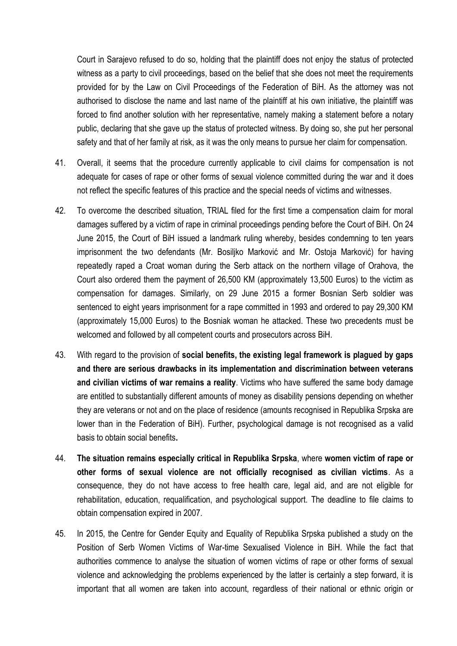Court in Sarajevo refused to do so, holding that the plaintiff does not enjoy the status of protected witness as a party to civil proceedings, based on the belief that she does not meet the requirements provided for by the Law on Civil Proceedings of the Federation of BiH. As the attorney was not authorised to disclose the name and last name of the plaintiff at his own initiative, the plaintiff was forced to find another solution with her representative, namely making a statement before a notary public, declaring that she gave up the status of protected witness. By doing so, she put her personal safety and that of her family at risk, as it was the only means to pursue her claim for compensation.

- 41. Overall, it seems that the procedure currently applicable to civil claims for compensation is not adequate for cases of rape or other forms of sexual violence committed during the war and it does not reflect the specific features of this practice and the special needs of victims and witnesses.
- 42. To overcome the described situation, TRIAL filed for the first time a compensation claim for moral damages suffered by a victim of rape in criminal proceedings pending before the Court of BiH. On 24 June 2015, the Court of BiH issued a landmark ruling whereby, besides condemning to ten years imprisonment the two defendants (Mr. Bosiljko Marković and Mr. Ostoja Marković) for having repeatedly raped a Croat woman during the Serb attack on the northern village of Orahova, the Court also ordered them the payment of 26,500 KM (approximately 13,500 Euros) to the victim as compensation for damages. Similarly, on 29 June 2015 a former Bosnian Serb soldier was sentenced to eight years imprisonment for a rape committed in 1993 and ordered to pay 29,300 KM (approximately 15,000 Euros) to the Bosniak woman he attacked. These two precedents must be welcomed and followed by all competent courts and prosecutors across BiH.
- 43. With regard to the provision of **social benefits, the existing legal framework is plagued by gaps and there are serious drawbacks in its implementation and discrimination between veterans and civilian victims of war remains a reality**. Victims who have suffered the same body damage are entitled to substantially different amounts of money as disability pensions depending on whether they are veterans or not and on the place of residence (amounts recognised in Republika Srpska are lower than in the Federation of BiH). Further, psychological damage is not recognised as a valid basis to obtain social benefits**.**
- 44. **The situation remains especially critical in Republika Srpska**, where **women victim of rape or other forms of sexual violence are not officially recognised as civilian victims**. As a consequence, they do not have access to free health care, legal aid, and are not eligible for rehabilitation, education, requalification, and psychological support. The deadline to file claims to obtain compensation expired in 2007.
- 45. In 2015, the Centre for Gender Equity and Equality of Republika Srpska published a study on the Position of Serb Women Victims of War-time Sexualised Violence in BiH. While the fact that authorities commence to analyse the situation of women victims of rape or other forms of sexual violence and acknowledging the problems experienced by the latter is certainly a step forward, it is important that all women are taken into account, regardless of their national or ethnic origin or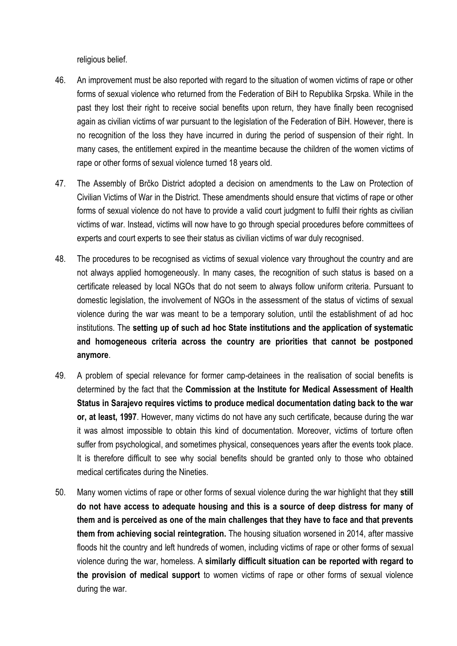religious belief.

- 46. An improvement must be also reported with regard to the situation of women victims of rape or other forms of sexual violence who returned from the Federation of BiH to Republika Srpska. While in the past they lost their right to receive social benefits upon return, they have finally been recognised again as civilian victims of war pursuant to the legislation of the Federation of BiH. However, there is no recognition of the loss they have incurred in during the period of suspension of their right. In many cases, the entitlement expired in the meantime because the children of the women victims of rape or other forms of sexual violence turned 18 years old.
- 47. The Assembly of Brčko District adopted a decision on amendments to the Law on Protection of Civilian Victims of War in the District. These amendments should ensure that victims of rape or other forms of sexual violence do not have to provide a valid court judgment to fulfil their rights as civilian victims of war. Instead, victims will now have to go through special procedures before committees of experts and court experts to see their status as civilian victims of war duly recognised.
- 48. The procedures to be recognised as victims of sexual violence vary throughout the country and are not always applied homogeneously. In many cases, the recognition of such status is based on a certificate released by local NGOs that do not seem to always follow uniform criteria. Pursuant to domestic legislation, the involvement of NGOs in the assessment of the status of victims of sexual violence during the war was meant to be a temporary solution, until the establishment of ad hoc institutions. The **setting up of such ad hoc State institutions and the application of systematic and homogeneous criteria across the country are priorities that cannot be postponed anymore**.
- 49. A problem of special relevance for former camp-detainees in the realisation of social benefits is determined by the fact that the **Commission at the Institute for Medical Assessment of Health Status in Sarajevo requires victims to produce medical documentation dating back to the war or, at least, 1997**. However, many victims do not have any such certificate, because during the war it was almost impossible to obtain this kind of documentation. Moreover, victims of torture often suffer from psychological, and sometimes physical, consequences years after the events took place. It is therefore difficult to see why social benefits should be granted only to those who obtained medical certificates during the Nineties.
- 50. Many women victims of rape or other forms of sexual violence during the war highlight that they **still do not have access to adequate housing and this is a source of deep distress for many of them and is perceived as one of the main challenges that they have to face and that prevents them from achieving social reintegration.** The housing situation worsened in 2014, after massive floods hit the country and left hundreds of women, including victims of rape or other forms of sexual violence during the war, homeless. A **similarly difficult situation can be reported with regard to the provision of medical support** to women victims of rape or other forms of sexual violence during the war.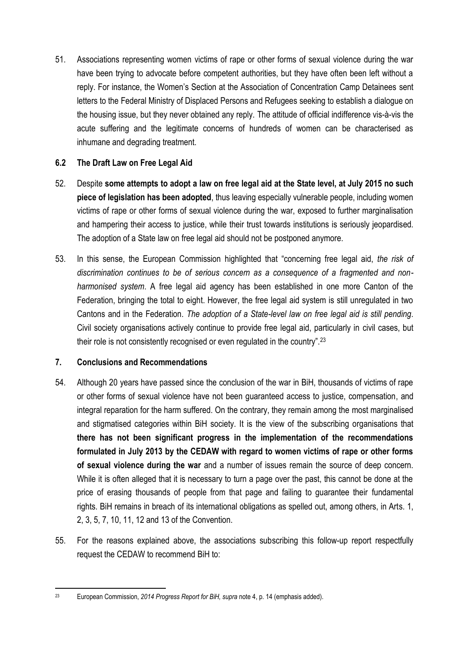51. Associations representing women victims of rape or other forms of sexual violence during the war have been trying to advocate before competent authorities, but they have often been left without a reply. For instance, the Women's Section at the Association of Concentration Camp Detainees sent letters to the Federal Ministry of Displaced Persons and Refugees seeking to establish a dialogue on the housing issue, but they never obtained any reply. The attitude of official indifference vis-à-vis the acute suffering and the legitimate concerns of hundreds of women can be characterised as inhumane and degrading treatment.

# **6.2 The Draft Law on Free Legal Aid**

- 52. Despite **some attempts to adopt a law on free legal aid at the State level, at July 2015 no such piece of legislation has been adopted**, thus leaving especially vulnerable people, including women victims of rape or other forms of sexual violence during the war, exposed to further marginalisation and hampering their access to justice, while their trust towards institutions is seriously jeopardised. The adoption of a State law on free legal aid should not be postponed anymore.
- 53. In this sense, the European Commission highlighted that "concerning free legal aid, *the risk of discrimination continues to be of serious concern as a consequence of a fragmented and nonharmonised system*. A free legal aid agency has been established in one more Canton of the Federation, bringing the total to eight. However, the free legal aid system is still unregulated in two Cantons and in the Federation. *The adoption of a State-level law on free legal aid is still pending*. Civil society organisations actively continue to provide free legal aid, particularly in civil cases, but their role is not consistently recognised or even regulated in the country".<sup>23</sup>

# **7. Conclusions and Recommendations**

- 54. Although 20 years have passed since the conclusion of the war in BiH, thousands of victims of rape or other forms of sexual violence have not been guaranteed access to justice, compensation, and integral reparation for the harm suffered. On the contrary, they remain among the most marginalised and stigmatised categories within BiH society. It is the view of the subscribing organisations that **there has not been significant progress in the implementation of the recommendations formulated in July 2013 by the CEDAW with regard to women victims of rape or other forms of sexual violence during the war** and a number of issues remain the source of deep concern. While it is often alleged that it is necessary to turn a page over the past, this cannot be done at the price of erasing thousands of people from that page and failing to guarantee their fundamental rights. BiH remains in breach of its international obligations as spelled out, among others, in Arts. 1, 2, 3, 5, 7, 10, 11, 12 and 13 of the Convention.
- 55. For the reasons explained above, the associations subscribing this follow-up report respectfully request the CEDAW to recommend BiH to:

 $2<sup>2</sup>$ <sup>23</sup> European Commission, *2014 Progress Report for BiH, supra* note 4, p. 14 (emphasis added).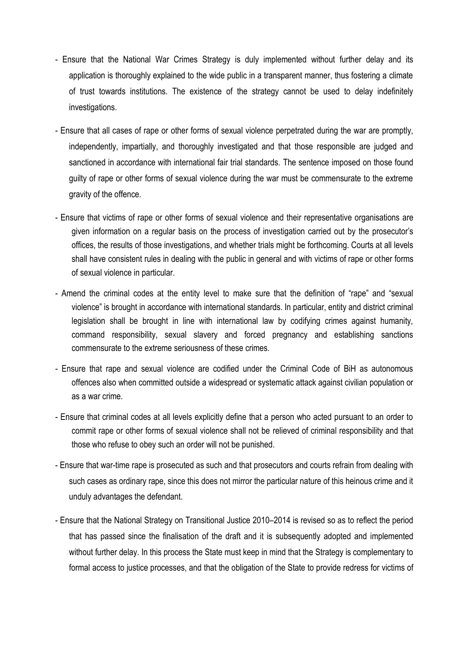- Ensure that the National War Crimes Strategy is duly implemented without further delay and its application is thoroughly explained to the wide public in a transparent manner, thus fostering a climate of trust towards institutions. The existence of the strategy cannot be used to delay indefinitely investigations.
- Ensure that all cases of rape or other forms of sexual violence perpetrated during the war are promptly, independently, impartially, and thoroughly investigated and that those responsible are judged and sanctioned in accordance with international fair trial standards. The sentence imposed on those found guilty of rape or other forms of sexual violence during the war must be commensurate to the extreme gravity of the offence.
- Ensure that victims of rape or other forms of sexual violence and their representative organisations are given information on a regular basis on the process of investigation carried out by the prosecutor's offices, the results of those investigations, and whether trials might be forthcoming. Courts at all levels shall have consistent rules in dealing with the public in general and with victims of rape or other forms of sexual violence in particular.
- Amend the criminal codes at the entity level to make sure that the definition of "rape" and "sexual violence" is brought in accordance with international standards. In particular, entity and district criminal legislation shall be brought in line with international law by codifying crimes against humanity, command responsibility, sexual slavery and forced pregnancy and establishing sanctions commensurate to the extreme seriousness of these crimes.
- Ensure that rape and sexual violence are codified under the Criminal Code of BiH as autonomous offences also when committed outside a widespread or systematic attack against civilian population or as a war crime.
- Ensure that criminal codes at all levels explicitly define that a person who acted pursuant to an order to commit rape or other forms of sexual violence shall not be relieved of criminal responsibility and that those who refuse to obey such an order will not be punished.
- Ensure that war-time rape is prosecuted as such and that prosecutors and courts refrain from dealing with such cases as ordinary rape, since this does not mirror the particular nature of this heinous crime and it unduly advantages the defendant.
- Ensure that the National Strategy on Transitional Justice 2010–2014 is revised so as to reflect the period that has passed since the finalisation of the draft and it is subsequently adopted and implemented without further delay. In this process the State must keep in mind that the Strategy is complementary to formal access to justice processes, and that the obligation of the State to provide redress for victims of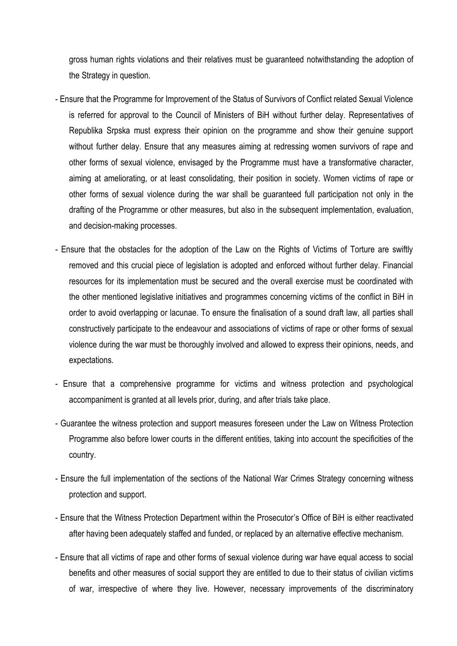gross human rights violations and their relatives must be guaranteed notwithstanding the adoption of the Strategy in question.

- Ensure that the Programme for Improvement of the Status of Survivors of Conflict related Sexual Violence is referred for approval to the Council of Ministers of BiH without further delay. Representatives of Republika Srpska must express their opinion on the programme and show their genuine support without further delay. Ensure that any measures aiming at redressing women survivors of rape and other forms of sexual violence, envisaged by the Programme must have a transformative character, aiming at ameliorating, or at least consolidating, their position in society. Women victims of rape or other forms of sexual violence during the war shall be guaranteed full participation not only in the drafting of the Programme or other measures, but also in the subsequent implementation, evaluation, and decision-making processes.
- Ensure that the obstacles for the adoption of the Law on the Rights of Victims of Torture are swiftly removed and this crucial piece of legislation is adopted and enforced without further delay. Financial resources for its implementation must be secured and the overall exercise must be coordinated with the other mentioned legislative initiatives and programmes concerning victims of the conflict in BiH in order to avoid overlapping or lacunae. To ensure the finalisation of a sound draft law, all parties shall constructively participate to the endeavour and associations of victims of rape or other forms of sexual violence during the war must be thoroughly involved and allowed to express their opinions, needs, and expectations.
- Ensure that a comprehensive programme for victims and witness protection and psychological accompaniment is granted at all levels prior, during, and after trials take place.
- Guarantee the witness protection and support measures foreseen under the Law on Witness Protection Programme also before lower courts in the different entities, taking into account the specificities of the country.
- Ensure the full implementation of the sections of the National War Crimes Strategy concerning witness protection and support.
- Ensure that the Witness Protection Department within the Prosecutor's Office of BiH is either reactivated after having been adequately staffed and funded, or replaced by an alternative effective mechanism.
- Ensure that all victims of rape and other forms of sexual violence during war have equal access to social benefits and other measures of social support they are entitled to due to their status of civilian victims of war, irrespective of where they live. However, necessary improvements of the discriminatory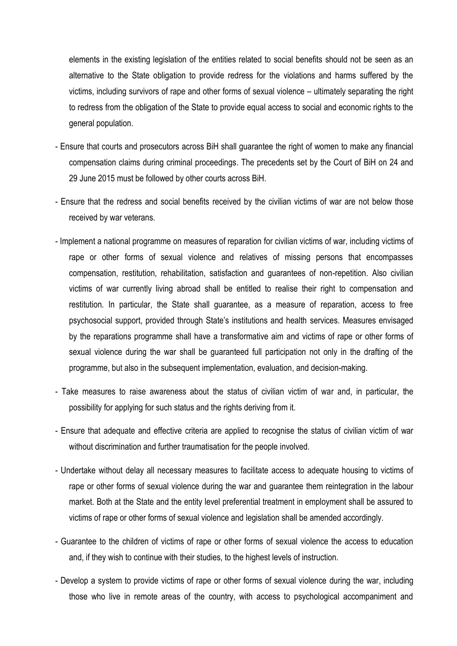elements in the existing legislation of the entities related to social benefits should not be seen as an alternative to the State obligation to provide redress for the violations and harms suffered by the victims, including survivors of rape and other forms of sexual violence – ultimately separating the right to redress from the obligation of the State to provide equal access to social and economic rights to the general population.

- Ensure that courts and prosecutors across BiH shall guarantee the right of women to make any financial compensation claims during criminal proceedings. The precedents set by the Court of BiH on 24 and 29 June 2015 must be followed by other courts across BiH.
- Ensure that the redress and social benefits received by the civilian victims of war are not below those received by war veterans.
- Implement a national programme on measures of reparation for civilian victims of war, including victims of rape or other forms of sexual violence and relatives of missing persons that encompasses compensation, restitution, rehabilitation, satisfaction and guarantees of non-repetition. Also civilian victims of war currently living abroad shall be entitled to realise their right to compensation and restitution. In particular, the State shall guarantee, as a measure of reparation, access to free psychosocial support, provided through State's institutions and health services. Measures envisaged by the reparations programme shall have a transformative aim and victims of rape or other forms of sexual violence during the war shall be guaranteed full participation not only in the drafting of the programme, but also in the subsequent implementation, evaluation, and decision-making.
- Take measures to raise awareness about the status of civilian victim of war and, in particular, the possibility for applying for such status and the rights deriving from it.
- Ensure that adequate and effective criteria are applied to recognise the status of civilian victim of war without discrimination and further traumatisation for the people involved.
- Undertake without delay all necessary measures to facilitate access to adequate housing to victims of rape or other forms of sexual violence during the war and guarantee them reintegration in the labour market. Both at the State and the entity level preferential treatment in employment shall be assured to victims of rape or other forms of sexual violence and legislation shall be amended accordingly.
- Guarantee to the children of victims of rape or other forms of sexual violence the access to education and, if they wish to continue with their studies, to the highest levels of instruction.
- Develop a system to provide victims of rape or other forms of sexual violence during the war, including those who live in remote areas of the country, with access to psychological accompaniment and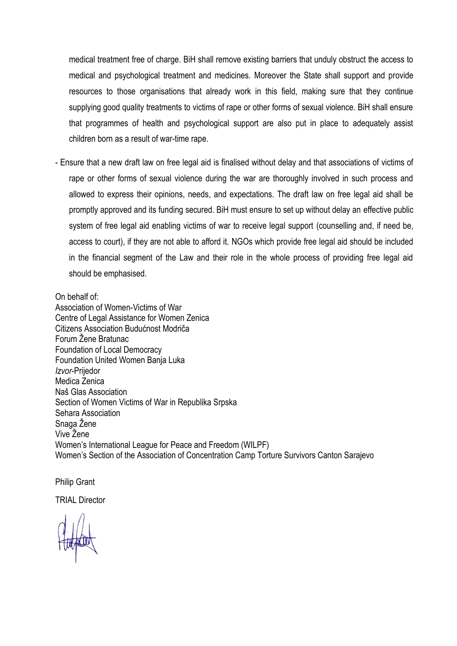medical treatment free of charge. BiH shall remove existing barriers that unduly obstruct the access to medical and psychological treatment and medicines. Moreover the State shall support and provide resources to those organisations that already work in this field, making sure that they continue supplying good quality treatments to victims of rape or other forms of sexual violence. BiH shall ensure that programmes of health and psychological support are also put in place to adequately assist children born as a result of war-time rape.

- Ensure that a new draft law on free legal aid is finalised without delay and that associations of victims of rape or other forms of sexual violence during the war are thoroughly involved in such process and allowed to express their opinions, needs, and expectations. The draft law on free legal aid shall be promptly approved and its funding secured. BiH must ensure to set up without delay an effective public system of free legal aid enabling victims of war to receive legal support (counselling and, if need be, access to court), if they are not able to afford it. NGOs which provide free legal aid should be included in the financial segment of the Law and their role in the whole process of providing free legal aid should be emphasised.

#### On behalf of:

Association of Women-Victims of War Centre of Legal Assistance for Women Zenica Citizens Association Budućnost Modriča Forum Žene Bratunac Foundation of Local Democracy Foundation United Women Banja Luka *Izvor*-Prijedor Medica Zenica Naš Glas Association Section of Women Victims of War in Republika Srpska Sehara Association Snaga Žene Vive Žene Women's International League for Peace and Freedom (WILPF) Women's Section of the Association of Concentration Camp Torture Survivors Canton Sarajevo

Philip Grant

TRIAL Director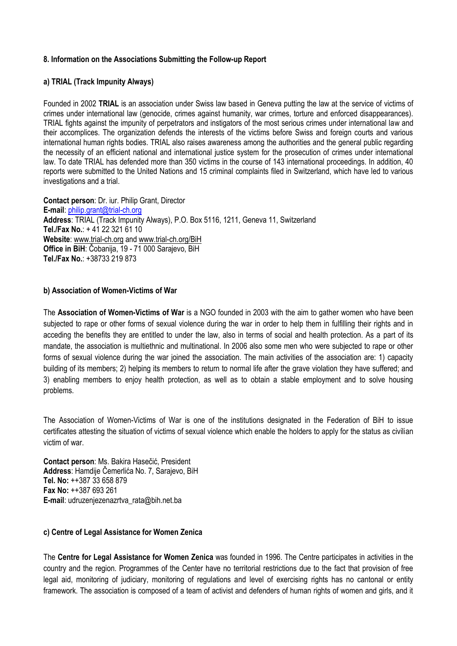## **8. Information on the Associations Submitting the Follow-up Report**

#### **a) TRIAL (Track Impunity Always)**

Founded in 2002 **TRIAL** is an association under Swiss law based in Geneva putting the law at the service of victims of crimes under international law (genocide, crimes against humanity, war crimes, torture and enforced disappearances). TRIAL fights against the impunity of perpetrators and instigators of the most serious crimes under international law and their accomplices. The organization defends the interests of the victims before Swiss and foreign courts and various international human rights bodies. TRIAL also raises awareness among the authorities and the general public regarding the necessity of an efficient national and international justice system for the prosecution of crimes under international law. To date TRIAL has defended more than 350 victims in the course of 143 international proceedings. In addition, 40 reports were submitted to the United Nations and 15 criminal complaints filed in Switzerland, which have led to various investigations and a trial.

**Contact person**: Dr. iur. Philip Grant, Director **E-mail**: [philip.grant@trial-ch.org](mailto:philip.grant@trial-ch.org) **Address**: TRIAL (Track Impunity Always), P.O. Box 5116, 1211, Geneva 11, Switzerland **Tel./Fax No.**: + 41 22 321 61 10 **Website**: [www.trial-ch.org](http://www.trial-ch.org/) and [www.trial-ch.org/BiH](http://www.trial-ch.org/BiH) **Office in BiH**: Čobanija, 19 - 71 000 Sarajevo, BiH **Tel./Fax No.**: [+38733 219 873](tel:%2B38733%20219%20873)

#### **b) Association of Women-Victims of War**

The **Association of Women-Victims of War** is a NGO founded in 2003 with the aim to gather women who have been subjected to rape or other forms of sexual violence during the war in order to help them in fulfilling their rights and in acceding the benefits they are entitled to under the law, also in terms of social and health protection. As a part of its mandate, the association is multiethnic and multinational. In 2006 also some men who were subjected to rape or other forms of sexual violence during the war joined the association. The main activities of the association are: 1) capacity building of its members; 2) helping its members to return to normal life after the grave violation they have suffered; and 3) enabling members to enjoy health protection, as well as to obtain a stable employment and to solve housing problems.

The Association of Women-Victims of War is one of the institutions designated in the Federation of BiH to issue certificates attesting the situation of victims of sexual violence which enable the holders to apply for the status as civilian victim of war.

**Contact person**: Ms. Bakira Hasečić, President **Address**: Hamdije Čemerlića No. 7, Sarajevo, BiH **Tel. No:** ++387 33 658 879 **Fax No:** ++387 693 261 **E-mail**: udruzenjezenazrtva\_rata@bih.net.ba

#### **c) Centre of Legal Assistance for Women Zenica**

The **Centre for Legal Assistance for Women Zenica** was founded in 1996. The Centre participates in activities in the country and the region. Programmes of the Center have no territorial restrictions due to the fact that provision of free legal aid, monitoring of judiciary, monitoring of regulations and level of exercising rights has no cantonal or entity framework. The association is composed of a team of activist and defenders of human rights of women and girls, and it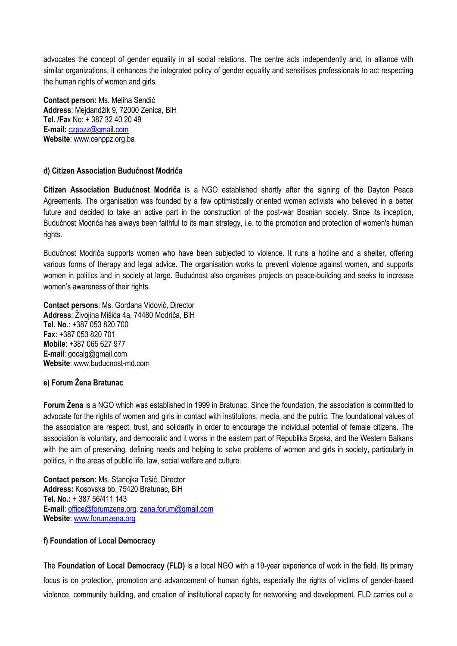advocates the concept of gender equality in all social relations. The centre acts independently and, in alliance with similar organizations, it enhances the integrated policy of gender equality and sensitises professionals to act respecting the human rights of women and girls.

**Contact person:** Ms. Meliha Sendić **Address**: Mejdandžik 9, 72000 Zenica, BiH **Tel. /Fa**x No: + 387 32 40 20 49 **E-mail:** [czppzz@gmail.com](mailto:czppzz@gmail.com) **Website**: www.cenppz.org.ba

## **d) Citizen Association Budućnost Modriča**

**Citizen Association Budućnost Modriča** is a NGO established shortly after the signing of the Dayton Peace Agreements. The organisation was founded by a few optimistically oriented women activists who believed in a better future and decided to take an active part in the construction of the post-war Bosnian society. Since its inception, Budućnost Modriča has always been faithful to its main strategy, i.e. to the promotion and protection of women's human rights.

Budućnost Modriča supports women who have been subjected to violence. It runs a hotline and a shelter, offering various forms of therapy and legal advice. The organisation works to prevent violence against women, and supports women in politics and in society at large. Budućnost also organises projects on peace-building and seeks to increase women's awareness of their rights.

**Contact persons**: Ms. Gordana Vidović, Director **Address**: Živojina Mišića 4a, 74480 Modriča, BiH **Tel. No.**: +387 053 820 700 **Fax**: +387 053 820 701 **Mobile**: +387 065 627 977 **E-mail**: gocalg@gmail.com **Website**: www.buducnost-md.com

## **e) Forum Žena Bratunac**

**Forum Žena** is a NGO which was established in 1999 in Bratunac. Since the foundation, the association is committed to advocate for the rights of women and girls in contact with institutions, media, and the public. The foundational values of the association are respect, trust, and solidarity in order to encourage the individual potential of female citizens. The association is voluntary, and democratic and it works in the eastern part of Republika Srpska, and the Western Balkans with the aim of preserving, defining needs and helping to solve problems of women and girls in society, particularly in politics, in the areas of public life, law, social welfare and culture.

**Contact person:** Ms. Stanojka Tešić, Director **Address:** Kosovska bb, 75420 Bratunac, BiH **Tel. No.:** + 387 56/411 143 **E-mail**: [office@forumzena.org,](mailto:office@forumzena.org) [zena.forum@gmail.com](mailto:zena.forum@gmail.com) **Website**: [www.forumzena.org](http://www.forumzena.org/)

## **f) Foundation of Local Democracy**

The **Foundation of Local Democracy (FLD)** is a local NGO with a 19-year experience of work in the field. Its primary focus is on protection, promotion and advancement of human rights, especially the rights of victims of gender-based violence, community building, and creation of institutional capacity for networking and development. FLD carries out a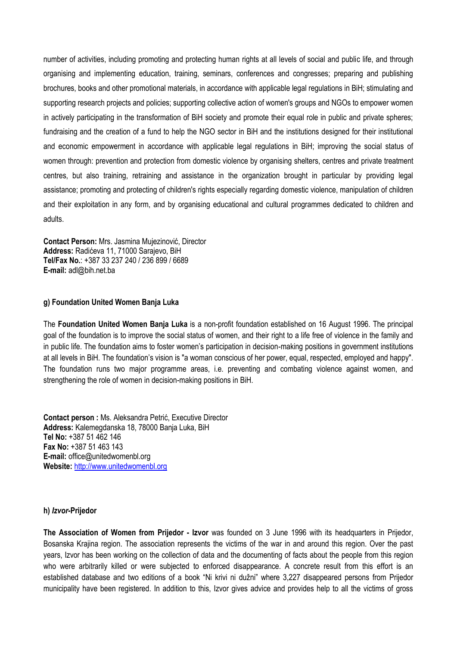number of activities, including promoting and protecting human rights at all levels of social and public life, and through organising and implementing education, training, seminars, conferences and congresses; preparing and publishing brochures, books and other promotional materials, in accordance with applicable legal regulations in BiH; stimulating and supporting research projects and policies; supporting collective action of women's groups and NGOs to empower women in actively participating in the transformation of BiH society and promote their equal role in public and private spheres; fundraising and the creation of a fund to help the NGO sector in BiH and the institutions designed for their institutional and economic empowerment in accordance with applicable legal regulations in BiH; improving the social status of women through: prevention and protection from domestic violence by organising shelters, centres and private treatment centres, but also training, retraining and assistance in the organization brought in particular by providing legal assistance; promoting and protecting of children's rights especially regarding domestic violence, manipulation of children and their exploitation in any form, and by organising educational and cultural programmes dedicated to children and adults.

**Contact Person:** Mrs. Jasmina Mujezinović, Director **Address:** Radićeva 11, 71000 Sarajevo, BiH **Tel/Fax No.**: +387 33 237 240 / 236 899 / 6689 **E-mail:** adl@bih.net.ba

#### **g) Foundation United Women Banja Luka**

The **Foundation United Women Banja Luka** is a non-profit foundation established on 16 August 1996. The principal goal of the foundation is to improve the social status of women, and their right to a life free of violence in the family and in public life. The foundation aims to foster women's participation in decision-making positions in government institutions at all levels in BiH. The foundation's vision is "a woman conscious of her power, equal, respected, employed and happy". The foundation runs two major programme areas, i.e. preventing and combating violence against women, and strengthening the role of women in decision-making positions in BiH.

**Contact person :** Ms. Aleksandra Petrić, Executive Director **Address:** Kalemegdanska 18, 78000 Banja Luka, BiH **Tel No:** +387 51 462 146 **Fax No:** +387 51 463 143 **E-mail:** office@unitedwomenbl.org **Website:** [http://www.unitedwomenbl.org](http://www.unitedwomenbl.org/)

#### **h)** *Izvor***-Prijedor**

**The Association of Women from Prijedor - Izvor** was founded on 3 June 1996 with its headquarters in Prijedor, Bosanska Krajina region. The association represents the victims of the war in and around this region. Over the past years, Izvor has been working on the collection of data and the documenting of facts about the people from this region who were arbitrarily killed or were subjected to enforced disappearance. A concrete result from this effort is an established database and two editions of a book "Ni krivi ni dužni" where 3,227 disappeared persons from Prijedor municipality have been registered. In addition to this, Izvor gives advice and provides help to all the victims of gross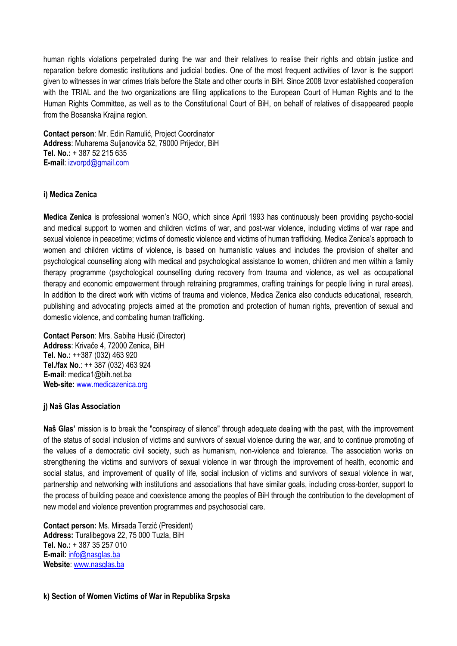human rights violations perpetrated during the war and their relatives to realise their rights and obtain justice and reparation before domestic institutions and judicial bodies. One of the most frequent activities of Izvor is the support given to witnesses in war crimes trials before the State and other courts in BiH. Since 2008 Izvor established cooperation with the TRIAL and the two organizations are filing applications to the European Court of Human Rights and to the Human Rights Committee, as well as to the Constitutional Court of BiH, on behalf of relatives of disappeared people from the Bosanska Krajina region.

**Contact person**: Mr. Edin Ramulić, Project Coordinator **Address**: Muharema Suljanovića 52, 79000 Prijedor, BiH **Tel. No.:** + 387 52 215 635 **E-mail**: izvorpd@gmail.com

### **i) Medica Zenica**

**Medica Zenica** is professional women's NGO, which since April 1993 has continuously been providing psycho-social and medical support to women and children victims of war, and post-war violence, including victims of war rape and sexual violence in peacetime; victims of domestic violence and victims of human trafficking. Medica Zenica's approach to women and children victims of violence, is based on humanistic values and includes the provision of shelter and psychological counselling along with medical and psychological assistance to women, children and men within a family therapy programme (psychological counselling during recovery from trauma and violence, as well as occupational therapy and economic empowerment through retraining programmes, crafting trainings for people living in rural areas). In addition to the direct work with victims of trauma and violence, Medica Zenica also conducts educational, research, publishing and advocating projects aimed at the promotion and protection of human rights, prevention of sexual and domestic violence, and combating human trafficking.

**Contact Person**: Mrs. Sabiha Husić (Director) **Address**: Krivače 4, 72000 Zenica, BiH **Tel. No.:** ++387 (032) 463 920 **Tel./fax No**.: ++ 387 (032) 463 924 **E-mail**: medica1@bih.net.ba **Web-site:** www.medicazenica.org

#### **j) Naš Glas Association**

**Naš Glas'** mission is to break the "conspiracy of silence" through adequate dealing with the past, with the improvement of the status of social inclusion of victims and survivors of sexual violence during the war, and to continue promoting of the values of a democratic civil society, such as humanism, non-violence and tolerance. The association works on strengthening the victims and survivors of sexual violence in war through the improvement of health, economic and social status, and improvement of quality of life, social inclusion of victims and survivors of sexual violence in war, partnership and networking with institutions and associations that have similar goals, including cross-border, support to the process of building peace and coexistence among the peoples of BiH through the contribution to the development of new model and violence prevention programmes and psychosocial care.

**Contact person:** Ms. Mirsada Terzić (President) **Address:** Turalibegova 22, 75 000 Tuzla, BiH **Tel. No.:** + 387 35 257 010 **E-mail:** [info@nasglas.ba](mailto:info@nasglas.ba) **Website**: [www.nasglas.ba](http://www.nasglas.ba/)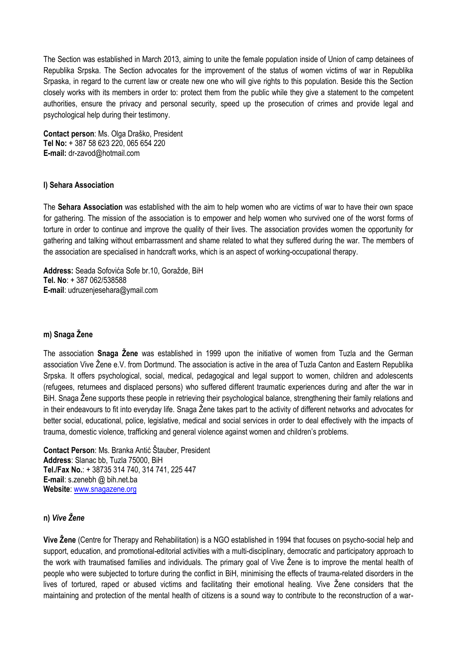The Section was established in March 2013, aiming to unite the female population inside of Union of camp detainees of Republika Srpska. The Section advocates for the improvement of the status of women victims of war in Republika Srpaska, in regard to the current law or create new one who will give rights to this population. Beside this the Section closely works with its members in order to: protect them from the public while they give a statement to the competent authorities, ensure the privacy and personal security, speed up the prosecution of crimes and provide legal and psychological help during their testimony.

**Contact person**: Ms. Olga Draško, President **Tel No:** + 387 58 623 220, 065 654 220 **E-mail:** dr-zavod@hotmail.com

## **l) Sehara Association**

The **Sehara Association** was established with the aim to help women who are victims of war to have their own space for gathering. The mission of the association is to empower and help women who survived one of the worst forms of torture in order to continue and improve the quality of their lives. The association provides women the opportunity for gathering and talking without embarrassment and shame related to what they suffered during the war. The members of the association are specialised in handcraft works, which is an aspect of working-occupational therapy.

**Address:** Seada Sofovića Sofe br.10, Goražde, BiH **Tel. No**: + 387 062/538588 **E-mail**: udruzenjesehara@ymail.com

## **m) Snaga Žene**

The association **Snaga Žene** was established in 1999 upon the initiative of women from Tuzla and the German association Vive Žene e.V. from Dortmund. The association is active in the area of Tuzla Canton and Eastern Republika Srpska. It offers psychological, social, medical, pedagogical and legal support to women, children and adolescents (refugees, returnees and displaced persons) who suffered different traumatic experiences during and after the war in BiH. Snaga Žene supports these people in retrieving their psychological balance, strengthening their family relations and in their endeavours to fit into everyday life. Snaga Žene takes part to the activity of different networks and advocates for better social, educational, police, legislative, medical and social services in order to deal effectively with the impacts of trauma, domestic violence, trafficking and general violence against women and children's problems.

**Contact Person**: Ms. Branka Antić Štauber, President **Address**: Slanac bb, Tuzla 75000, BiH **Tel./Fax No.**: + 38735 314 740, 314 741, 225 447 **E-mail**: s.zenebh @ bih.net.ba **Website**: [www.snagazene.org](http://www.snagazene.org/)

### **n)** *Vive Žene*

**Vive Žene** (Centre for Therapy and Rehabilitation) is a NGO established in 1994 that focuses on psycho-social help and support, education, and promotional-editorial activities with a multi-disciplinary, democratic and participatory approach to the work with traumatised families and individuals. The primary goal of Vive Žene is to improve the mental health of people who were subjected to torture during the conflict in BiH, minimising the effects of trauma-related disorders in the lives of tortured, raped or abused victims and facilitating their emotional healing. Vive Žene considers that the maintaining and protection of the mental health of citizens is a sound way to contribute to the reconstruction of a war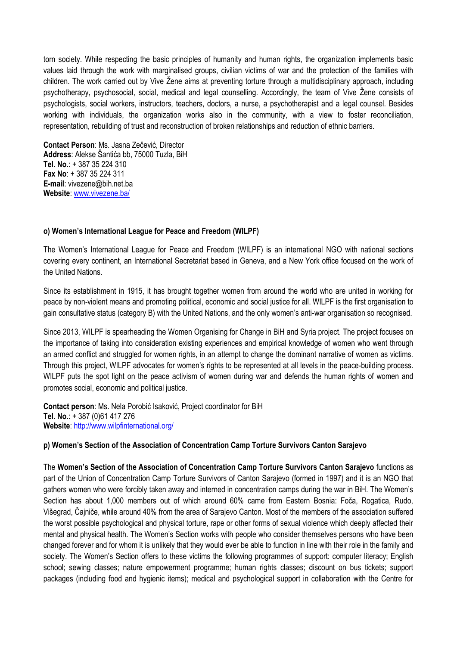torn society. While respecting the basic principles of humanity and human rights, the organization implements basic values laid through the work with marginalised groups, civilian victims of war and the protection of the families with children. The work carried out by Vive Žene aims at preventing torture through a multidisciplinary approach, including psychotherapy, psychosocial, social, medical and legal counselling. Accordingly, the team of Vive Žene consists of psychologists, social workers, instructors, teachers, doctors, a nurse, a psychotherapist and a legal counsel. Besides working with individuals, the organization works also in the community, with a view to foster reconciliation, representation, rebuilding of trust and reconstruction of broken relationships and reduction of ethnic barriers.

**Contact Person**: Ms. Jasna Zečević, Director **Address**: Alekse Šantića bb, 75000 Tuzla, BiH **Tel. No.**: + 387 35 224 310 **Fax No**: + 387 35 224 311 **E-mail**: vivezene@bih.net.ba **Website**: [www.vivezene.ba/](http://www.vivezene.ba/)

#### **o) Women's International League for Peace and Freedom (WILPF)**

The Women's International League for Peace and Freedom (WILPF) is an international NGO with national sections covering every continent, an International Secretariat based in Geneva, and a New York office focused on the work of the United Nations.

Since its establishment in 1915, it has brought together women from around the world who are united in working for peace by non-violent means and promoting political, economic and social justice for all. WILPF is the first organisation to gain consultative status (category B) with the United Nations, and the only women's anti-war organisation so recognised.

Since 2013, WILPF is spearheading the Women Organising for Change in BiH and Syria project. The project focuses on the importance of taking into consideration existing experiences and empirical knowledge of women who went through an armed conflict and struggled for women rights, in an attempt to change the dominant narrative of women as victims. Through this project, WILPF advocates for women's rights to be represented at all levels in the peace-building process. WILPF puts the spot light on the peace activism of women during war and defends the human rights of women and promotes social, economic and political justice.

**Contact person**: Ms. Nela Porobić Isaković, Project coordinator for BiH **Tel. No.**: + 387 (0)61 417 276 **Website**: <http://www.wilpfinternational.org/>

## **p) Women's Section of the Association of Concentration Camp Torture Survivors Canton Sarajevo**

The **Women's Section of the Association of Concentration Camp Torture Survivors Canton Sarajevo** functions as part of the Union of Concentration Camp Torture Survivors of Canton Sarajevo (formed in 1997) and it is an NGO that gathers women who were forcibly taken away and interned in concentration camps during the war in BiH. The Women's Section has about 1,000 members out of which around 60% came from Eastern Bosnia: Foča, Rogatica, Rudo, Višegrad, Čajniče, while around 40% from the area of Sarajevo Canton. Most of the members of the association suffered the worst possible psychological and physical torture, rape or other forms of sexual violence which deeply affected their mental and physical health. The Women's Section works with people who consider themselves persons who have been changed forever and for whom it is unlikely that they would ever be able to function in line with their role in the family and society. The Women's Section offers to these victims the following programmes of support: computer literacy; English school; sewing classes; nature empowerment programme; human rights classes; discount on bus tickets; support packages (including food and hygienic items); medical and psychological support in collaboration with the Centre for